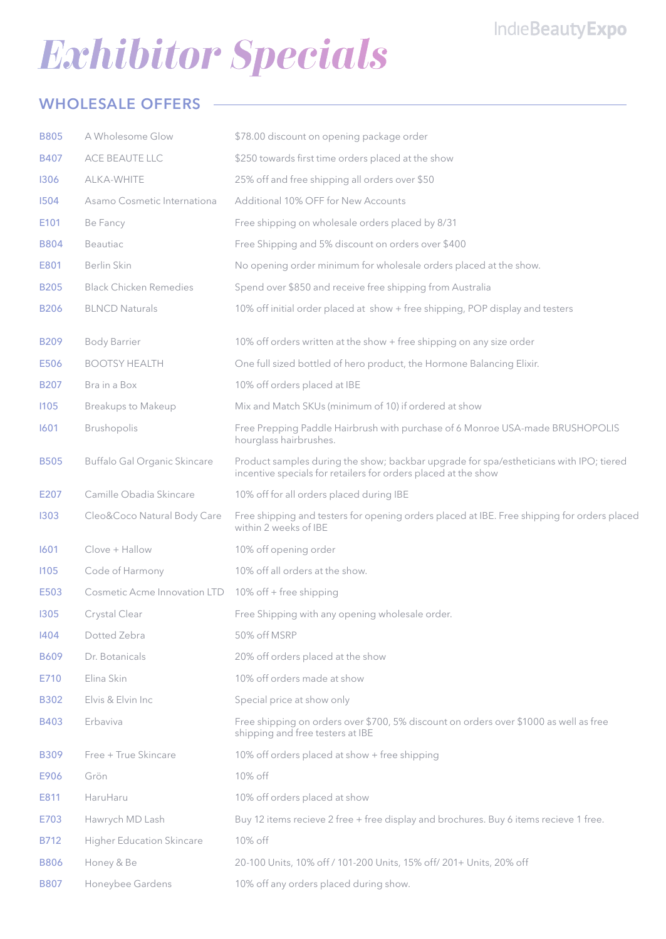# *Exhibitor Specials*

#### wholesale offers

| <b>B805</b> | A Wholesome Glow                 | \$78.00 discount on opening package order                                                                                                                |
|-------------|----------------------------------|----------------------------------------------------------------------------------------------------------------------------------------------------------|
| <b>B407</b> | ACE BEAUTE LLC                   | \$250 towards first time orders placed at the show                                                                                                       |
| 1306        | <b>ALKA-WHITE</b>                | 25% off and free shipping all orders over \$50                                                                                                           |
| 1504        | Asamo Cosmetic Internationa      | Additional 10% OFF for New Accounts                                                                                                                      |
| E101        | Be Fancy                         | Free shipping on wholesale orders placed by 8/31                                                                                                         |
| <b>B804</b> | <b>Beautiac</b>                  | Free Shipping and 5% discount on orders over \$400                                                                                                       |
| E801        | Berlin Skin                      | No opening order minimum for wholesale orders placed at the show.                                                                                        |
| <b>B205</b> | <b>Black Chicken Remedies</b>    | Spend over \$850 and receive free shipping from Australia                                                                                                |
| <b>B206</b> | <b>BLNCD Naturals</b>            | 10% off initial order placed at show + free shipping, POP display and testers                                                                            |
| <b>B209</b> | <b>Body Barrier</b>              | 10% off orders written at the show + free shipping on any size order                                                                                     |
| E506        | <b>BOOTSY HEALTH</b>             | One full sized bottled of hero product, the Hormone Balancing Elixir.                                                                                    |
| <b>B207</b> | Bra in a Box                     | 10% off orders placed at IBE                                                                                                                             |
| 1105        | <b>Breakups to Makeup</b>        | Mix and Match SKUs (minimum of 10) if ordered at show                                                                                                    |
| 1601        | Brushopolis                      | Free Prepping Paddle Hairbrush with purchase of 6 Monroe USA-made BRUSHOPOLIS<br>hourglass hairbrushes.                                                  |
| <b>B505</b> | Buffalo Gal Organic Skincare     | Product samples during the show; backbar upgrade for spa/estheticians with IPO; tiered<br>incentive specials for retailers for orders placed at the show |
| E207        | Camille Obadia Skincare          | 10% off for all orders placed during IBE                                                                                                                 |
| 1303        | Cleo&Coco Natural Body Care      | Free shipping and testers for opening orders placed at IBE. Free shipping for orders placed<br>within 2 weeks of IBE                                     |
| 1601        | Clove + Hallow                   | 10% off opening order                                                                                                                                    |
| 1105        | Code of Harmony                  | 10% off all orders at the show.                                                                                                                          |
| E503        | Cosmetic Acme Innovation LTD     | 10% off + free shipping                                                                                                                                  |
| 1305        | Crystal Clear                    | Free Shipping with any opening wholesale order.                                                                                                          |
| 1404        | Dotted Zebra                     | 50% off MSRP                                                                                                                                             |
| <b>B609</b> | Dr. Botanicals                   | 20% off orders placed at the show                                                                                                                        |
| E710        | Elina Skin                       | 10% off orders made at show                                                                                                                              |
| <b>B302</b> | Elvis & Elvin Inc                | Special price at show only                                                                                                                               |
| <b>B403</b> | Erbaviva                         | Free shipping on orders over \$700, 5% discount on orders over \$1000 as well as free<br>shipping and free testers at IBE                                |
| <b>B309</b> | Free + True Skincare             | 10% off orders placed at show + free shipping                                                                                                            |
| E906        | Grön                             | 10% off                                                                                                                                                  |
| E811        | HaruHaru                         | 10% off orders placed at show                                                                                                                            |
| E703        | Hawrych MD Lash                  | Buy 12 items recieve 2 free + free display and brochures. Buy 6 items recieve 1 free.                                                                    |
| B712        | <b>Higher Education Skincare</b> | 10% off                                                                                                                                                  |
| <b>B806</b> | Honey & Be                       | 20-100 Units, 10% off / 101-200 Units, 15% off/ 201+ Units, 20% off                                                                                      |
| <b>B807</b> | Honeybee Gardens                 | 10% off any orders placed during show.                                                                                                                   |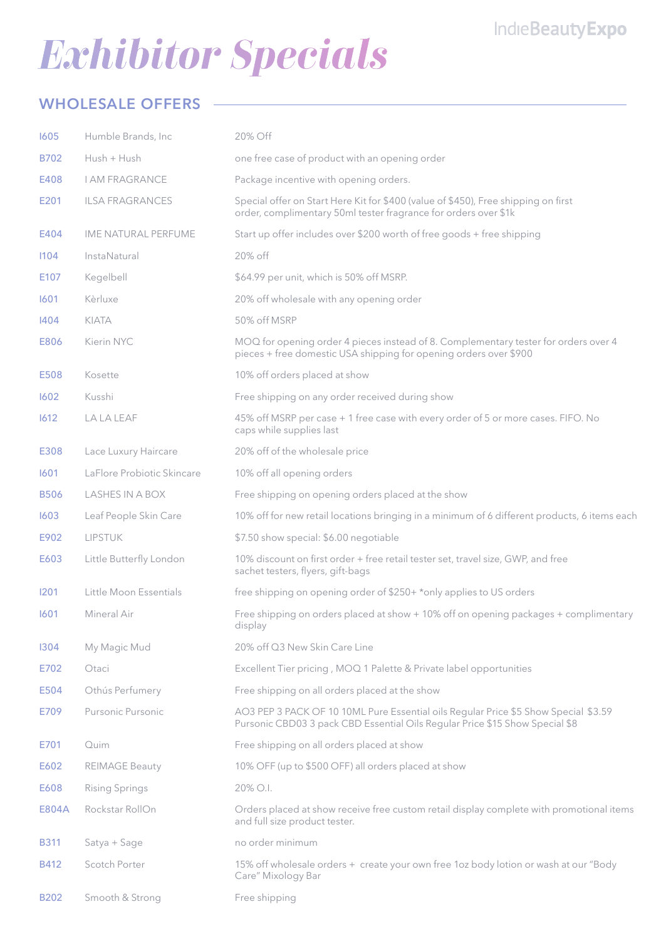# *Exhibitor Specials*

#### wholesale offers

| 1605             | Humble Brands, Inc         | 20% Off                                                                                                                                                             |
|------------------|----------------------------|---------------------------------------------------------------------------------------------------------------------------------------------------------------------|
| <b>B702</b>      | Hush + Hush                | one free case of product with an opening order                                                                                                                      |
| E408             | <b>I AM FRAGRANCE</b>      | Package incentive with opening orders.                                                                                                                              |
| E201             | <b>ILSA FRAGRANCES</b>     | Special offer on Start Here Kit for \$400 (value of \$450), Free shipping on first<br>order, complimentary 50ml tester fragrance for orders over \$1k               |
| E404             | IME NATURAL PERFUME        | Start up offer includes over \$200 worth of free goods + free shipping                                                                                              |
| 1104             | InstaNatural               | 20% off                                                                                                                                                             |
| E <sub>107</sub> | Kegelbell                  | \$64.99 per unit, which is 50% off MSRP.                                                                                                                            |
| 1601             | Kèrluxe                    | 20% off wholesale with any opening order                                                                                                                            |
| 1404             | KIATA                      | 50% off MSRP                                                                                                                                                        |
| E806             | Kierin NYC                 | MOQ for opening order 4 pieces instead of 8. Complementary tester for orders over 4<br>pieces + free domestic USA shipping for opening orders over \$900            |
| E508             | Kosette                    | 10% off orders placed at show                                                                                                                                       |
| 1602             | Kusshi                     | Free shipping on any order received during show                                                                                                                     |
| 1612             | LA LA LEAF                 | 45% off MSRP per case + 1 free case with every order of 5 or more cases. FIFO. No<br>caps while supplies last                                                       |
| E308             | Lace Luxury Haircare       | 20% off of the wholesale price                                                                                                                                      |
| 1601             | LaFlore Probiotic Skincare | 10% off all opening orders                                                                                                                                          |
| <b>B506</b>      | <b>LASHES IN A BOX</b>     | Free shipping on opening orders placed at the show                                                                                                                  |
| 1603             | Leaf People Skin Care      | 10% off for new retail locations bringing in a minimum of 6 different products, 6 items each                                                                        |
| E902             | <b>LIPSTUK</b>             | \$7.50 show special: \$6.00 negotiable                                                                                                                              |
| E603             | Little Butterfly London    | 10% discount on first order + free retail tester set, travel size, GWP, and free<br>sachet testers, flyers, gift-bags                                               |
| 1201             | Little Moon Essentials     | free shipping on opening order of \$250+ *only applies to US orders                                                                                                 |
| 1601             | Mineral Air                | Free shipping on orders placed at show + 10% off on opening packages + complimentary<br>display                                                                     |
| 1304             | My Magic Mud               | 20% off Q3 New Skin Care Line                                                                                                                                       |
| E702             | Otaci                      | Excellent Tier pricing, MOQ 1 Palette & Private label opportunities                                                                                                 |
| E504             | Othús Perfumery            | Free shipping on all orders placed at the show                                                                                                                      |
| E709             | Pursonic Pursonic          | AO3 PEP 3 PACK OF 10 10ML Pure Essential oils Regular Price \$5 Show Special \$3.59<br>Pursonic CBD03 3 pack CBD Essential Oils Regular Price \$15 Show Special \$8 |
| E701             | Quim                       | Free shipping on all orders placed at show                                                                                                                          |
| E602             | <b>REIMAGE Beauty</b>      | 10% OFF (up to \$500 OFF) all orders placed at show                                                                                                                 |
| E608             | <b>Rising Springs</b>      | 20% O.I.                                                                                                                                                            |
| E804A            | Rockstar RollOn            | Orders placed at show receive free custom retail display complete with promotional items<br>and full size product tester.                                           |
| <b>B311</b>      | Satya + Sage               | no order minimum                                                                                                                                                    |
| B412             | Scotch Porter              | 15% off wholesale orders + create your own free 1oz body lotion or wash at our "Body<br>Care" Mixology Bar                                                          |
| <b>B202</b>      | Smooth & Strong            | Free shipping                                                                                                                                                       |